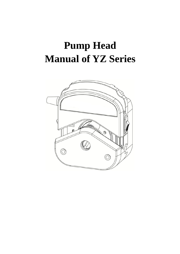## **Pump Head Manual of YZ Series**

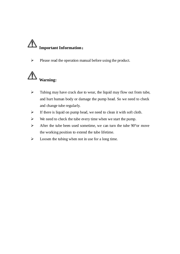# **Important Information**:

 $\triangleright$  Please read the operation manual before using the product.



- $\triangleright$  Tubing may have crack due to wear, the liquid may flow out from tube, and hurt human body or damage the pump head. So we need to check and change tube regularly.
- $\triangleright$  If there is liquid on pump head, we need to clean it with soft cloth.
- $\triangleright$  We need to check the tube every time when we start the pump.
- $\triangleright$  After the tube been used sometime, we can turn the tube 90 °or move the working position to extend the tube lifetime.
- $\triangleright$  Loosen the tubing when not in use for a long time.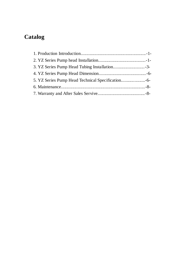### **Catalog**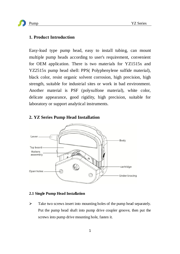#### **1. Product Introduction**

Easy-load type pump head, easy to install tubing, can mount multiple pump heads according to user's requirement, convenient for OEM application. There is two materials for YZ1515x and YZ2515x pump head shell: PPS( Polyphenylene sulfide material), black color, resist organic solvent corrosion, high precision, high strength, suitable for industrial sites or work in bad environment. Another material is PSF (polysulfone material), white color, delicate appearance, good rigidity, high precision, suitable for laboratory or support analytical instruments.



#### **2. YZ Series Pump Head Installation**

#### **2.1 Single Pump Head Installation**

 $\triangleright$  Take two screws insert into mounting holes of the pump head separately. Put the pump head shaft into pump drive coupler groove, then put the screws into pump drive mounting hole, fasten it.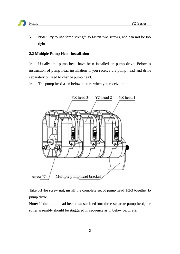

 $\triangleright$  Note: Try to use same strength to fasten two screws, and can not be too tight.

#### **2.2 Multiple Pump Head Installation**

 $\triangleright$  Usually, the pump head have been installed on pump drive. Below is instruction of pump head installation if you receive the pump head and drive separately or need to change pump head.

 $\triangleright$  The pump head as in below picture when you receive it.



Take off the screw nut, install the complete set of pump head 1/2/3 together to pump drive.

**Note**: If the pump head been disassembled into three separate pump head, the roller assembly should be staggered in sequence as in below picture 2.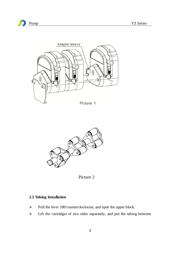





Picture 2

#### **2.3 Tubing Installation**

- $\triangleright$  Pull the lever 180° counterclockwise, and open the upper block.
- Lift the cartridges of two sides separately, and put the tubing between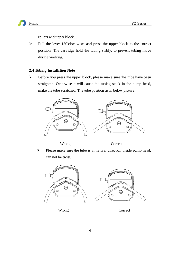

rollers and upper block. .

 $\triangleright$  Pull the lever 180°clockwise, and press the upper block to the correct position. The cartridge hold the tubing stably, to prevent tubing move during working.

#### **2.4 Tubing Installation Note**

 $\triangleright$  Before you press the upper block, please make sure the tube have been straighten. Otherwise it will cause the tubing stack in the pump head, make the tube scratched. The tube position as in below picture:



Wrong Correct

 $\triangleright$  Please make sure the tube is in natural direction inside pump head, can not be twist.





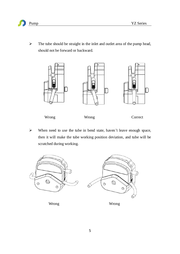

 $\triangleright$  The tube should be straight in the inlet and outlet area of the pump head, should not be forward or backward.



 $\triangleright$  When need to use the tube in bend state, haven't leave enough space, then it will make the tube working position deviation, and tube will be scratched during working.

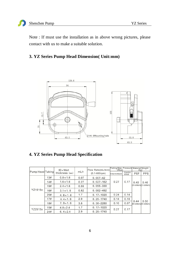Note : If must use the installation as in above wrong pictures, please contact with us to make a suitable solution.

#### **3. YZ Series Pump Head Dimension( Unit:mm)**



#### **4. YZ Series Pump Head Specification**

| Pump Head Tubing |     | $ID \times Wall$<br>thickness (mm) | mL/r | Flow Rate(mL/min)<br>$(0.1 - 600$ rpm $)$ | Tubing Max. Pressure Material/Weight<br>(Mpa) |                               | (kq)       |                               |
|------------------|-----|------------------------------------|------|-------------------------------------------|-----------------------------------------------|-------------------------------|------------|-------------------------------|
|                  |     |                                    |      |                                           | Intermittent                                  | Contin<br>uous                | <b>PSF</b> | PPS                           |
| YZ1515x          | 13# | $0.8 \times 1.6$                   | 0.07 | $0.007 - 42$                              | 0.17<br>0.27                                  |                               |            |                               |
|                  | 14# | $1.6 \times 1.6$                   | 0.27 | $0.027 - 162$                             |                                               | 0.40<br>(3 rollers 3 rollers) | 0.46       |                               |
|                  | 19# | $2.4 \times 1.6$                   | 0.55 | $0.055 - 330$                             |                                               |                               |            |                               |
|                  | 16# | $3.1 \times 1.6$                   | 0.82 | $0.082 - 492$                             |                                               |                               |            |                               |
|                  | 25# | $4.8 \times 1.6$                   | 1.7  | $0.17 - 1020$                             | 0.24                                          | 0.14                          | 0.44       | 0.50<br>(6 rollers 6 rollers) |
|                  | 17# | $6.4 \times 1.6$                   | 2.9  | $0.29 - 1740$                             | 0.14                                          | 0.10                          |            |                               |
|                  | 18# | $7.9 \times 1.6$                   | 3.8  | $0.38 - 2280$                             | 0.10                                          | 0.07                          |            |                               |
| YZ2515x          | 15# | $4.8 \times 2.4$                   | 1.7  | $0.17 - 1020$                             | 0.27                                          | 0.17                          |            |                               |
|                  | 24# | $6.4 \times 2.4$                   | 2.9  | $0.29 - 1740$                             |                                               |                               |            |                               |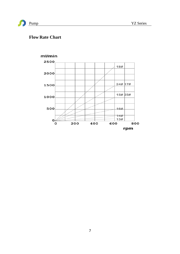$13#$ 

800

rpm

600



#### **Flow Rate Chart**

 $\mathbf{o}$ 

 $\alpha$ 



200

400